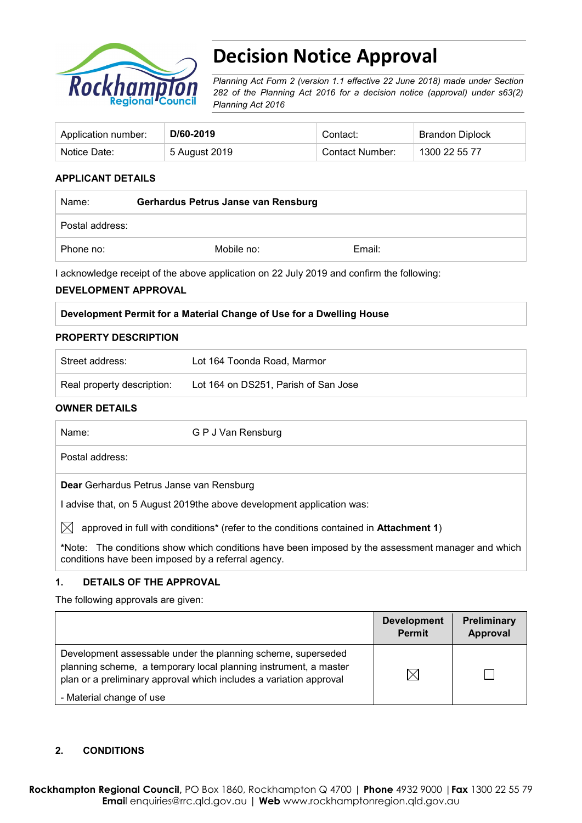

# **Decision Notice Approval**

*Planning Act Form 2 (version 1.1 effective 22 June 2018) made under Section 282 of the Planning Act 2016 for a decision notice (approval) under s63(2) Planning Act 2016*

| Application number: | D/60-2019     | Contact:        | <b>Brandon Diplock</b> |
|---------------------|---------------|-----------------|------------------------|
| Notice Date:        | 5 August 2019 | Contact Number: | 1300 22 55 77          |

## **APPLICANT DETAILS**

| Name:           | Gerhardus Petrus Janse van Rensburg |        |  |
|-----------------|-------------------------------------|--------|--|
| Postal address: |                                     |        |  |
| Phone no:       | Mobile no:                          | Email: |  |

I acknowledge receipt of the above application on 22 July 2019 and confirm the following:

## **DEVELOPMENT APPROVAL**

## **PROPERTY DESCRIPTION**

| Street address:            | Lot 164 Toonda Road, Marmor          |
|----------------------------|--------------------------------------|
| Real property description: | Lot 164 on DS251, Parish of San Jose |

## **OWNER DETAILS**

| Name:                                              | G P J Van Rensburg                                                                                        |
|----------------------------------------------------|-----------------------------------------------------------------------------------------------------------|
| Postal address:                                    |                                                                                                           |
| Dear Gerhardus Petrus Janse van Rensburg           |                                                                                                           |
|                                                    | advise that, on 5 August 2019 the above development application was:                                      |
|                                                    | approved in full with conditions <sup>*</sup> (refer to the conditions contained in <b>Attachment 1</b> ) |
| conditions have been imposed by a referral agency. | *Note: The conditions show which conditions have been imposed by the assessment manager and which         |

## **1. DETAILS OF THE APPROVAL**

The following approvals are given:

|                                                                                                                                                                                                        | <b>Development</b><br><b>Permit</b> | Preliminary<br>Approval |
|--------------------------------------------------------------------------------------------------------------------------------------------------------------------------------------------------------|-------------------------------------|-------------------------|
| Development assessable under the planning scheme, superseded<br>planning scheme, a temporary local planning instrument, a master<br>plan or a preliminary approval which includes a variation approval | $\times$                            |                         |
| - Material change of use                                                                                                                                                                               |                                     |                         |

## **2. CONDITIONS**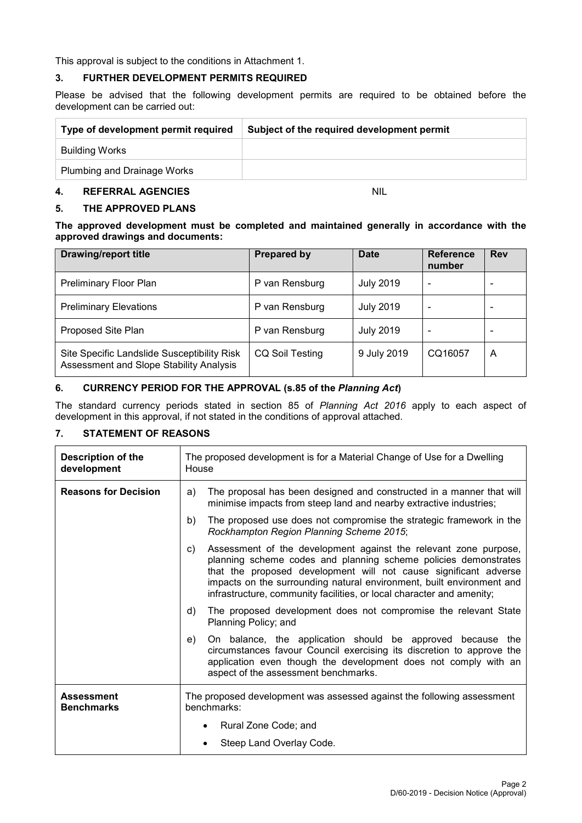This approval is subject to the conditions in Attachment 1.

## **3. FURTHER DEVELOPMENT PERMITS REQUIRED**

Please be advised that the following development permits are required to be obtained before the development can be carried out:

| Type of development permit required | Subject of the required development permit |  |
|-------------------------------------|--------------------------------------------|--|
| Building Works                      |                                            |  |
| Plumbing and Drainage Works         |                                            |  |

# **4. REFERRAL AGENCIES** NIL

## **5. THE APPROVED PLANS**

**The approved development must be completed and maintained generally in accordance with the approved drawings and documents:**

| <b>Drawing/report title</b>                                                            | <b>Prepared by</b>     | <b>Date</b>      | <b>Reference</b><br>number | <b>Rev</b> |
|----------------------------------------------------------------------------------------|------------------------|------------------|----------------------------|------------|
| <b>Preliminary Floor Plan</b>                                                          | P van Rensburg         | <b>July 2019</b> |                            |            |
| <b>Preliminary Elevations</b>                                                          | P van Rensburg         | <b>July 2019</b> | $\overline{\phantom{a}}$   |            |
| Proposed Site Plan                                                                     | P van Rensburg         | <b>July 2019</b> |                            |            |
| Site Specific Landslide Susceptibility Risk<br>Assessment and Slope Stability Analysis | <b>CQ Soil Testing</b> | 9 July 2019      | CQ16057                    | A          |

## **6. CURRENCY PERIOD FOR THE APPROVAL (s.85 of the** *Planning Act***)**

The standard currency periods stated in section 85 of *Planning Act 2016* apply to each aspect of development in this approval, if not stated in the conditions of approval attached.

## **7. STATEMENT OF REASONS**

| <b>Description of the</b><br>development | The proposed development is for a Material Change of Use for a Dwelling<br>House                                                                                                                                                                                                                                                                                |  |  |
|------------------------------------------|-----------------------------------------------------------------------------------------------------------------------------------------------------------------------------------------------------------------------------------------------------------------------------------------------------------------------------------------------------------------|--|--|
| <b>Reasons for Decision</b>              | The proposal has been designed and constructed in a manner that will<br>a)<br>minimise impacts from steep land and nearby extractive industries;                                                                                                                                                                                                                |  |  |
|                                          | The proposed use does not compromise the strategic framework in the<br>b)<br>Rockhampton Region Planning Scheme 2015;                                                                                                                                                                                                                                           |  |  |
|                                          | Assessment of the development against the relevant zone purpose,<br>C)<br>planning scheme codes and planning scheme policies demonstrates<br>that the proposed development will not cause significant adverse<br>impacts on the surrounding natural environment, built environment and<br>infrastructure, community facilities, or local character and amenity; |  |  |
|                                          | The proposed development does not compromise the relevant State<br>d)<br>Planning Policy; and                                                                                                                                                                                                                                                                   |  |  |
|                                          | On balance, the application should be approved because the<br>e)<br>circumstances favour Council exercising its discretion to approve the<br>application even though the development does not comply with an<br>aspect of the assessment benchmarks.                                                                                                            |  |  |
| <b>Assessment</b><br><b>Benchmarks</b>   | The proposed development was assessed against the following assessment<br>benchmarks:                                                                                                                                                                                                                                                                           |  |  |
|                                          | Rural Zone Code; and                                                                                                                                                                                                                                                                                                                                            |  |  |
|                                          | Steep Land Overlay Code.                                                                                                                                                                                                                                                                                                                                        |  |  |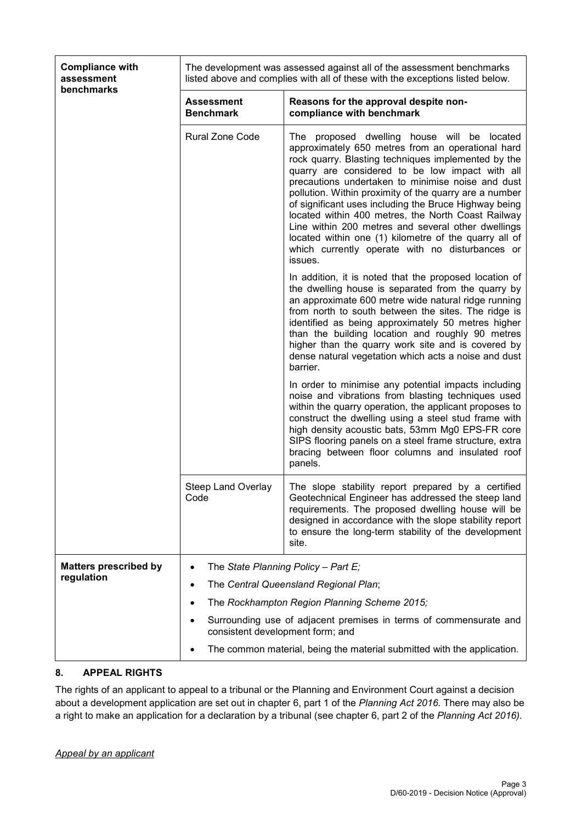| <b>Compliance with</b><br>assessment<br>benchmarks |                                                                         | The development was assessed against all of the assessment benchmarks<br>listed above and complies with all of these with the exceptions listed below.                                                                                                                                                                                                                                                                                                                                                                                                                                                                   |  |  |  |
|----------------------------------------------------|-------------------------------------------------------------------------|--------------------------------------------------------------------------------------------------------------------------------------------------------------------------------------------------------------------------------------------------------------------------------------------------------------------------------------------------------------------------------------------------------------------------------------------------------------------------------------------------------------------------------------------------------------------------------------------------------------------------|--|--|--|
|                                                    | <b>Assessment</b><br><b>Benchmark</b>                                   | Reasons for the approval despite non-<br>compliance with benchmark                                                                                                                                                                                                                                                                                                                                                                                                                                                                                                                                                       |  |  |  |
|                                                    | Rural Zone Code                                                         | proposed dwelling house will be located<br>The<br>approximately 650 metres from an operational hard<br>rock quarry. Blasting techniques implemented by the<br>quarry are considered to be low impact with all<br>precautions undertaken to minimise noise and dust<br>pollution. Within proximity of the quarry are a number<br>of significant uses including the Bruce Highway being<br>located within 400 metres, the North Coast Railway<br>Line within 200 metres and several other dwellings<br>located within one (1) kilometre of the quarry all of<br>which currently operate with no disturbances or<br>issues. |  |  |  |
|                                                    |                                                                         | In addition, it is noted that the proposed location of<br>the dwelling house is separated from the quarry by<br>an approximate 600 metre wide natural ridge running<br>from north to south between the sites. The ridge is<br>identified as being approximately 50 metres higher<br>than the building location and roughly 90 metres<br>higher than the quarry work site and is covered by<br>dense natural vegetation which acts a noise and dust<br>barrier.                                                                                                                                                           |  |  |  |
|                                                    |                                                                         | In order to minimise any potential impacts including<br>noise and vibrations from blasting techniques used<br>within the quarry operation, the applicant proposes to<br>construct the dwelling using a steel stud frame with<br>high density acoustic bats, 53mm Mg0 EPS-FR core<br>SIPS flooring panels on a steel frame structure, extra<br>bracing between floor columns and insulated roof<br>panels.                                                                                                                                                                                                                |  |  |  |
|                                                    | <b>Steep Land Overlay</b><br>Code                                       | The slope stability report prepared by a certified<br>Geotechnical Engineer has addressed the steep land<br>requirements. The proposed dwelling house will be<br>designed in accordance with the slope stability report<br>to ensure the long-term stability of the development<br>site.                                                                                                                                                                                                                                                                                                                                 |  |  |  |
| <b>Matters prescribed by</b>                       | The State Planning Policy - Part E;<br>$\bullet$                        |                                                                                                                                                                                                                                                                                                                                                                                                                                                                                                                                                                                                                          |  |  |  |
| regulation                                         | The Central Queensland Regional Plan;<br>٠                              |                                                                                                                                                                                                                                                                                                                                                                                                                                                                                                                                                                                                                          |  |  |  |
|                                                    | The Rockhampton Region Planning Scheme 2015;<br>٠                       |                                                                                                                                                                                                                                                                                                                                                                                                                                                                                                                                                                                                                          |  |  |  |
|                                                    | ٠                                                                       | Surrounding use of adjacent premises in terms of commensurate and                                                                                                                                                                                                                                                                                                                                                                                                                                                                                                                                                        |  |  |  |
|                                                    | consistent development form; and                                        |                                                                                                                                                                                                                                                                                                                                                                                                                                                                                                                                                                                                                          |  |  |  |
|                                                    | The common material, being the material submitted with the application. |                                                                                                                                                                                                                                                                                                                                                                                                                                                                                                                                                                                                                          |  |  |  |

## **8. APPEAL RIGHTS**

The rights of an applicant to appeal to a tribunal or the Planning and Environment Court against a decision about a development application are set out in chapter 6, part 1 of the *Planning Act 2016*. There may also be a right to make an application for a declaration by a tribunal (see chapter 6, part 2 of the *Planning Act 2016).*

## *Appeal by an applicant*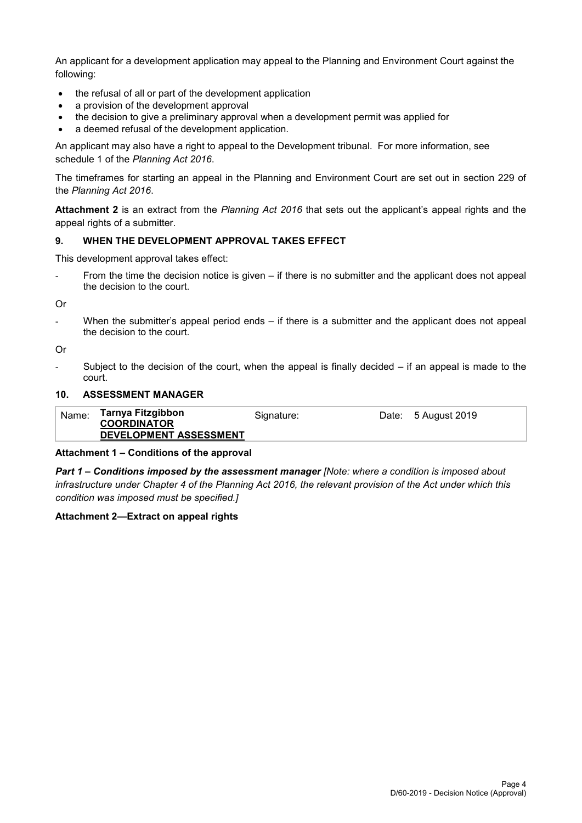An applicant for a development application may appeal to the Planning and Environment Court against the following:

- the refusal of all or part of the development application
- a provision of the development approval
- the decision to give a preliminary approval when a development permit was applied for
- a deemed refusal of the development application.

An applicant may also have a right to appeal to the Development tribunal. For more information, see schedule 1 of the *Planning Act 2016*.

The timeframes for starting an appeal in the Planning and Environment Court are set out in section 229 of the *Planning Act 2016*.

**Attachment 2** is an extract from the *Planning Act 2016* that sets out the applicant's appeal rights and the appeal rights of a submitter.

## **9. WHEN THE DEVELOPMENT APPROVAL TAKES EFFECT**

This development approval takes effect:

- From the time the decision notice is given – if there is no submitter and the applicant does not appeal the decision to the court.

Or

When the submitter's appeal period ends – if there is a submitter and the applicant does not appeal the decision to the court.

Or

Subject to the decision of the court, when the appeal is finally decided  $-$  if an appeal is made to the court.

## **10. ASSESSMENT MANAGER**

| Name: | Tarnya Fitzgibbon<br><b>COORDINATOR</b> | Signature: | Date: 5 August 2019 |
|-------|-----------------------------------------|------------|---------------------|
|       | DEVELOPMENT ASSESSMENT                  |            |                     |

## **Attachment 1 – Conditions of the approval**

*Part 1* **–** *Conditions imposed by the assessment manager [Note: where a condition is imposed about infrastructure under Chapter 4 of the Planning Act 2016, the relevant provision of the Act under which this condition was imposed must be specified.]*

## **Attachment 2—Extract on appeal rights**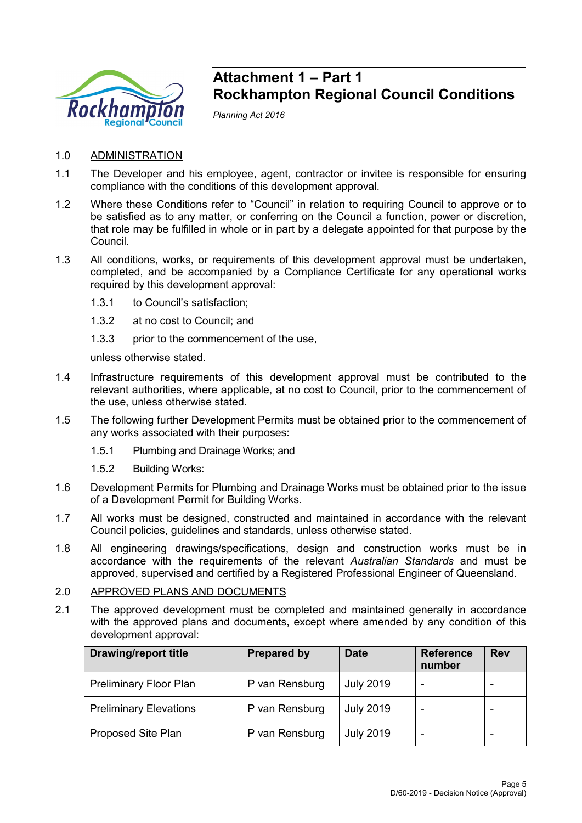

# **Attachment 1 – Part 1 Rockhampton Regional Council Conditions**

*Planning Act 2016*

- 1.0 ADMINISTRATION
- 1.1 The Developer and his employee, agent, contractor or invitee is responsible for ensuring compliance with the conditions of this development approval.
- 1.2 Where these Conditions refer to "Council" in relation to requiring Council to approve or to be satisfied as to any matter, or conferring on the Council a function, power or discretion, that role may be fulfilled in whole or in part by a delegate appointed for that purpose by the Council.
- 1.3 All conditions, works, or requirements of this development approval must be undertaken, completed, and be accompanied by a Compliance Certificate for any operational works required by this development approval:
	- 1.3.1 to Council's satisfaction;
	- 1.3.2 at no cost to Council; and
	- 1.3.3 prior to the commencement of the use,

unless otherwise stated.

- 1.4 Infrastructure requirements of this development approval must be contributed to the relevant authorities, where applicable, at no cost to Council, prior to the commencement of the use, unless otherwise stated.
- 1.5 The following further Development Permits must be obtained prior to the commencement of any works associated with their purposes:
	- 1.5.1 Plumbing and Drainage Works; and
	- 1.5.2 Building Works:
- 1.6 Development Permits for Plumbing and Drainage Works must be obtained prior to the issue of a Development Permit for Building Works.
- 1.7 All works must be designed, constructed and maintained in accordance with the relevant Council policies, guidelines and standards, unless otherwise stated.
- 1.8 All engineering drawings/specifications, design and construction works must be in accordance with the requirements of the relevant *Australian Standards* and must be approved, supervised and certified by a Registered Professional Engineer of Queensland.

## 2.0 APPROVED PLANS AND DOCUMENTS

2.1 The approved development must be completed and maintained generally in accordance with the approved plans and documents, except where amended by any condition of this development approval:

| <b>Drawing/report title</b>   | <b>Prepared by</b> | <b>Date</b>      | <b>Reference</b><br>number | <b>Rev</b> |
|-------------------------------|--------------------|------------------|----------------------------|------------|
| Preliminary Floor Plan        | P van Rensburg     | <b>July 2019</b> |                            |            |
| <b>Preliminary Elevations</b> | P van Rensburg     | <b>July 2019</b> |                            |            |
| Proposed Site Plan            | P van Rensburg     | <b>July 2019</b> |                            |            |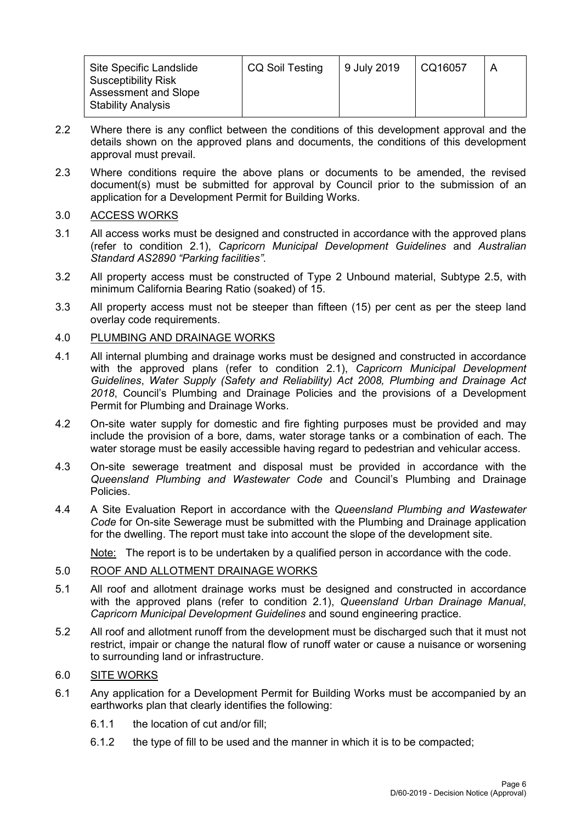| Site Specific Landslide                                   | <b>CQ Soil Testing</b> | 9 July 2019 | CQ16057 |  |
|-----------------------------------------------------------|------------------------|-------------|---------|--|
| <b>Susceptibility Risk</b><br><b>Assessment and Slope</b> |                        |             |         |  |
| <b>Stability Analysis</b>                                 |                        |             |         |  |

- 2.2 Where there is any conflict between the conditions of this development approval and the details shown on the approved plans and documents, the conditions of this development approval must prevail.
- 2.3 Where conditions require the above plans or documents to be amended, the revised document(s) must be submitted for approval by Council prior to the submission of an application for a Development Permit for Building Works.

## 3.0 ACCESS WORKS

- 3.1 All access works must be designed and constructed in accordance with the approved plans (refer to condition 2.1), *Capricorn Municipal Development Guidelines* and *Australian Standard AS2890 "Parking facilities"*.
- 3.2 All property access must be constructed of Type 2 Unbound material, Subtype 2.5, with minimum California Bearing Ratio (soaked) of 15.
- 3.3 All property access must not be steeper than fifteen (15) per cent as per the steep land overlay code requirements.

## 4.0 PLUMBING AND DRAINAGE WORKS

- 4.1 All internal plumbing and drainage works must be designed and constructed in accordance with the approved plans (refer to condition 2.1), *Capricorn Municipal Development Guidelines*, *Water Supply (Safety and Reliability) Act 2008, Plumbing and Drainage Act 2018*, Council's Plumbing and Drainage Policies and the provisions of a Development Permit for Plumbing and Drainage Works.
- 4.2 On-site water supply for domestic and fire fighting purposes must be provided and may include the provision of a bore, dams, water storage tanks or a combination of each. The water storage must be easily accessible having regard to pedestrian and vehicular access.
- 4.3 On-site sewerage treatment and disposal must be provided in accordance with the *Queensland Plumbing and Wastewater Code* and Council's Plumbing and Drainage Policies.
- 4.4 A Site Evaluation Report in accordance with the *Queensland Plumbing and Wastewater Code* for On-site Sewerage must be submitted with the Plumbing and Drainage application for the dwelling. The report must take into account the slope of the development site.

Note: The report is to be undertaken by a qualified person in accordance with the code.

## 5.0 ROOF AND ALLOTMENT DRAINAGE WORKS

- 5.1 All roof and allotment drainage works must be designed and constructed in accordance with the approved plans (refer to condition 2.1), *Queensland Urban Drainage Manual*, *Capricorn Municipal Development Guidelines* and sound engineering practice.
- 5.2 All roof and allotment runoff from the development must be discharged such that it must not restrict, impair or change the natural flow of runoff water or cause a nuisance or worsening to surrounding land or infrastructure.

## 6.0 SITE WORKS

- 6.1 Any application for a Development Permit for Building Works must be accompanied by an earthworks plan that clearly identifies the following:
	- 6.1.1 the location of cut and/or fill;
	- 6.1.2 the type of fill to be used and the manner in which it is to be compacted;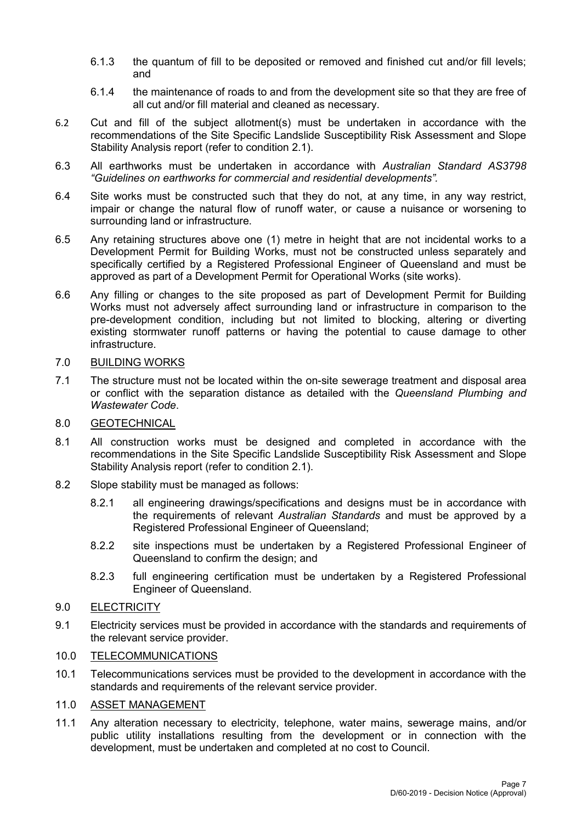- 6.1.3 the quantum of fill to be deposited or removed and finished cut and/or fill levels; and
- 6.1.4 the maintenance of roads to and from the development site so that they are free of all cut and/or fill material and cleaned as necessary.
- 6.2 Cut and fill of the subject allotment(s) must be undertaken in accordance with the recommendations of the Site Specific Landslide Susceptibility Risk Assessment and Slope Stability Analysis report (refer to condition 2.1).
- 6.3 All earthworks must be undertaken in accordance with *Australian Standard AS3798 "Guidelines on earthworks for commercial and residential developments".*
- 6.4 Site works must be constructed such that they do not, at any time, in any way restrict, impair or change the natural flow of runoff water, or cause a nuisance or worsening to surrounding land or infrastructure.
- 6.5 Any retaining structures above one (1) metre in height that are not incidental works to a Development Permit for Building Works, must not be constructed unless separately and specifically certified by a Registered Professional Engineer of Queensland and must be approved as part of a Development Permit for Operational Works (site works).
- 6.6 Any filling or changes to the site proposed as part of Development Permit for Building Works must not adversely affect surrounding land or infrastructure in comparison to the pre-development condition, including but not limited to blocking, altering or diverting existing stormwater runoff patterns or having the potential to cause damage to other infrastructure.

## 7.0 BUILDING WORKS

7.1 The structure must not be located within the on-site sewerage treatment and disposal area or conflict with the separation distance as detailed with the *Queensland Plumbing and Wastewater Code*.

# 8.0 GEOTECHNICAL

- 8.1 All construction works must be designed and completed in accordance with the recommendations in the Site Specific Landslide Susceptibility Risk Assessment and Slope Stability Analysis report (refer to condition 2.1).
- 8.2 Slope stability must be managed as follows:
	- 8.2.1 all engineering drawings/specifications and designs must be in accordance with the requirements of relevant *Australian Standards* and must be approved by a Registered Professional Engineer of Queensland;
	- 8.2.2 site inspections must be undertaken by a Registered Professional Engineer of Queensland to confirm the design; and
	- 8.2.3 full engineering certification must be undertaken by a Registered Professional Engineer of Queensland.

## 9.0 ELECTRICITY

9.1 Electricity services must be provided in accordance with the standards and requirements of the relevant service provider.

## 10.0 TELECOMMUNICATIONS

10.1 Telecommunications services must be provided to the development in accordance with the standards and requirements of the relevant service provider.

## 11.0 ASSET MANAGEMENT

11.1 Any alteration necessary to electricity, telephone, water mains, sewerage mains, and/or public utility installations resulting from the development or in connection with the development, must be undertaken and completed at no cost to Council.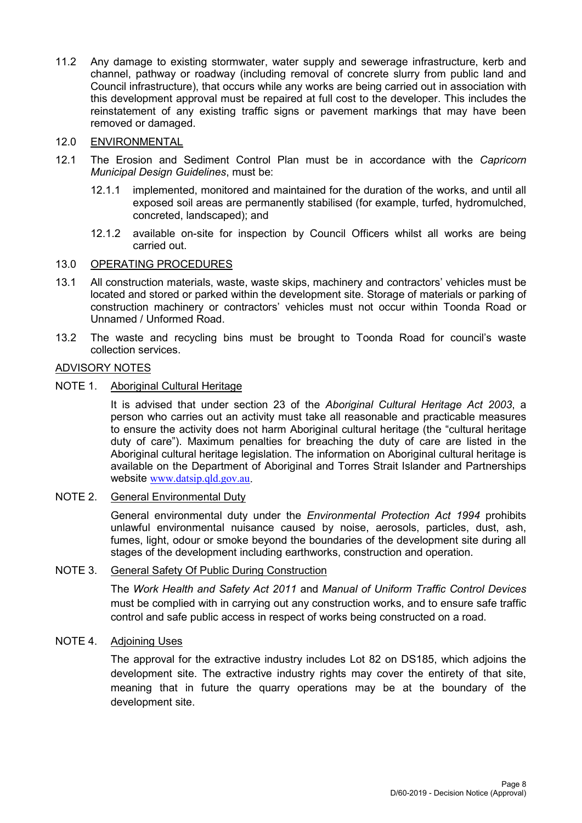11.2 Any damage to existing stormwater, water supply and sewerage infrastructure, kerb and channel, pathway or roadway (including removal of concrete slurry from public land and Council infrastructure), that occurs while any works are being carried out in association with this development approval must be repaired at full cost to the developer. This includes the reinstatement of any existing traffic signs or pavement markings that may have been removed or damaged.

## 12.0 ENVIRONMENTAL

- 12.1 The Erosion and Sediment Control Plan must be in accordance with the *Capricorn Municipal Design Guidelines*, must be:
	- 12.1.1 implemented, monitored and maintained for the duration of the works, and until all exposed soil areas are permanently stabilised (for example, turfed, hydromulched, concreted, landscaped); and
	- 12.1.2 available on-site for inspection by Council Officers whilst all works are being carried out.

## 13.0 OPERATING PROCEDURES

- 13.1 All construction materials, waste, waste skips, machinery and contractors' vehicles must be located and stored or parked within the development site. Storage of materials or parking of construction machinery or contractors' vehicles must not occur within Toonda Road or Unnamed / Unformed Road.
- 13.2 The waste and recycling bins must be brought to Toonda Road for council's waste collection services.

# ADVISORY NOTES

NOTE 1. Aboriginal Cultural Heritage

It is advised that under section 23 of the *Aboriginal Cultural Heritage Act 2003*, a person who carries out an activity must take all reasonable and practicable measures to ensure the activity does not harm Aboriginal cultural heritage (the "cultural heritage duty of care"). Maximum penalties for breaching the duty of care are listed in the Aboriginal cultural heritage legislation. The information on Aboriginal cultural heritage is available on the Department of Aboriginal and Torres Strait Islander and Partnerships website [www.datsip.qld.gov.au](http://www.datsip.qld.gov.au/).

## NOTE 2. General Environmental Duty

General environmental duty under the *Environmental Protection Act 1994* prohibits unlawful environmental nuisance caused by noise, aerosols, particles, dust, ash, fumes, light, odour or smoke beyond the boundaries of the development site during all stages of the development including earthworks, construction and operation.

## NOTE 3. General Safety Of Public During Construction

The *Work Health and Safety Act 2011* and *Manual of Uniform Traffic Control Devices* must be complied with in carrying out any construction works, and to ensure safe traffic control and safe public access in respect of works being constructed on a road.

# NOTE 4. Adjoining Uses

The approval for the extractive industry includes Lot 82 on DS185, which adjoins the development site. The extractive industry rights may cover the entirety of that site, meaning that in future the quarry operations may be at the boundary of the development site.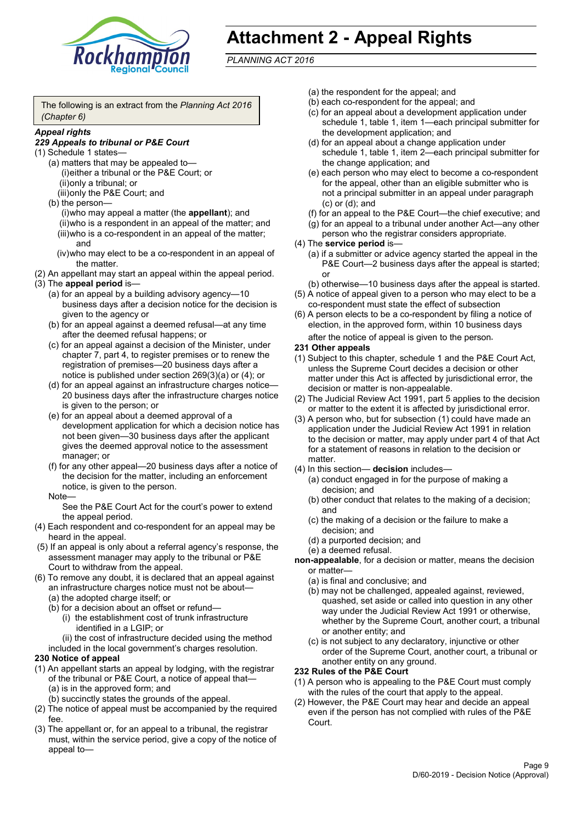

# **Attachment 2 - Appeal Rights**

*PLANNING ACT 2016*

The following is an extract from the *Planning Act 2016 (Chapter 6)*

## *Appeal rights*

## *229 Appeals to tribunal or P&E Court*

- (1) Schedule 1 states—
	- (a) matters that may be appealed to— (i)either a tribunal or the P&E Court; or (ii)only a tribunal; or (iii)only the P&E Court; and
	- (b) the person—

(i)who may appeal a matter (the **appellant**); and (ii)who is a respondent in an appeal of the matter; and (iii)who is a co-respondent in an appeal of the matter; and

- (iv)who may elect to be a co-respondent in an appeal of the matter.
- (2) An appellant may start an appeal within the appeal period.
- (3) The **appeal period** is—
	- (a) for an appeal by a building advisory agency—10 business days after a decision notice for the decision is given to the agency or
	- (b) for an appeal against a deemed refusal—at any time after the deemed refusal happens; or
	- (c) for an appeal against a decision of the Minister, under chapter 7, part 4, to register premises or to renew the registration of premises—20 business days after a notice is published under section 269(3)(a) or (4); or
	- (d) for an appeal against an infrastructure charges notice— 20 business days after the infrastructure charges notice is given to the person; or
	- (e) for an appeal about a deemed approval of a development application for which a decision notice has not been given—30 business days after the applicant gives the deemed approval notice to the assessment manager; or
	- (f) for any other appeal—20 business days after a notice of the decision for the matter, including an enforcement notice, is given to the person.

### Note—

See the P&E Court Act for the court's power to extend the appeal period.

- (4) Each respondent and co-respondent for an appeal may be heard in the appeal.
- (5) If an appeal is only about a referral agency's response, the assessment manager may apply to the tribunal or P&E Court to withdraw from the appeal.
- (6) To remove any doubt, it is declared that an appeal against an infrastructure charges notice must not be about—
	- (a) the adopted charge itself; or
	- (b) for a decision about an offset or refund—
		- (i) the establishment cost of trunk infrastructure identified in a LGIP; or

(ii) the cost of infrastructure decided using the method

included in the local government's charges resolution.

## **230 Notice of appeal**

- (1) An appellant starts an appeal by lodging, with the registrar of the tribunal or P&E Court, a notice of appeal that—
	- (a) is in the approved form; and
	- (b) succinctly states the grounds of the appeal.
- (2) The notice of appeal must be accompanied by the required fee.
- (3) The appellant or, for an appeal to a tribunal, the registrar must, within the service period, give a copy of the notice of appeal to—
- (a) the respondent for the appeal; and
- (b) each co-respondent for the appeal; and
- (c) for an appeal about a development application under schedule 1, table 1, item 1—each principal submitter for the development application; and
- (d) for an appeal about a change application under schedule 1, table 1, item 2—each principal submitter for the change application; and
- (e) each person who may elect to become a co-respondent for the appeal, other than an eligible submitter who is not a principal submitter in an appeal under paragraph (c) or (d); and
- (f) for an appeal to the P&E Court—the chief executive; and
- (g) for an appeal to a tribunal under another Act—any other person who the registrar considers appropriate.
- (4) The **service period** is—
	- (a) if a submitter or advice agency started the appeal in the P&E Court—2 business days after the appeal is started; or
	- (b) otherwise—10 business days after the appeal is started.
- (5) A notice of appeal given to a person who may elect to be a co-respondent must state the effect of subsection
- (6) A person elects to be a co-respondent by filing a notice of election, in the approved form, within 10 business days after the notice of appeal is given to the person*.*
- **231 Other appeals**
- (1) Subject to this chapter, schedule 1 and the P&E Court Act, unless the Supreme Court decides a decision or other matter under this Act is affected by jurisdictional error, the decision or matter is non-appealable.
- (2) The Judicial Review Act 1991, part 5 applies to the decision or matter to the extent it is affected by jurisdictional error.
- (3) A person who, but for subsection (1) could have made an application under the Judicial Review Act 1991 in relation to the decision or matter, may apply under part 4 of that Act for a statement of reasons in relation to the decision or matter.
- (4) In this section— **decision** includes—
	- (a) conduct engaged in for the purpose of making a decision; and
	- (b) other conduct that relates to the making of a decision; and
	- (c) the making of a decision or the failure to make a decision; and
	- (d) a purported decision; and
	- (e) a deemed refusal.

**non-appealable**, for a decision or matter, means the decision or matter—

- (a) is final and conclusive; and
- (b) may not be challenged, appealed against, reviewed, quashed, set aside or called into question in any other way under the Judicial Review Act 1991 or otherwise, whether by the Supreme Court, another court, a tribunal or another entity; and
- (c) is not subject to any declaratory, injunctive or other order of the Supreme Court, another court, a tribunal or another entity on any ground.

## **232 Rules of the P&E Court**

- (1) A person who is appealing to the P&E Court must comply with the rules of the court that apply to the appeal.
- (2) However, the P&E Court may hear and decide an appeal even if the person has not complied with rules of the P&E Court.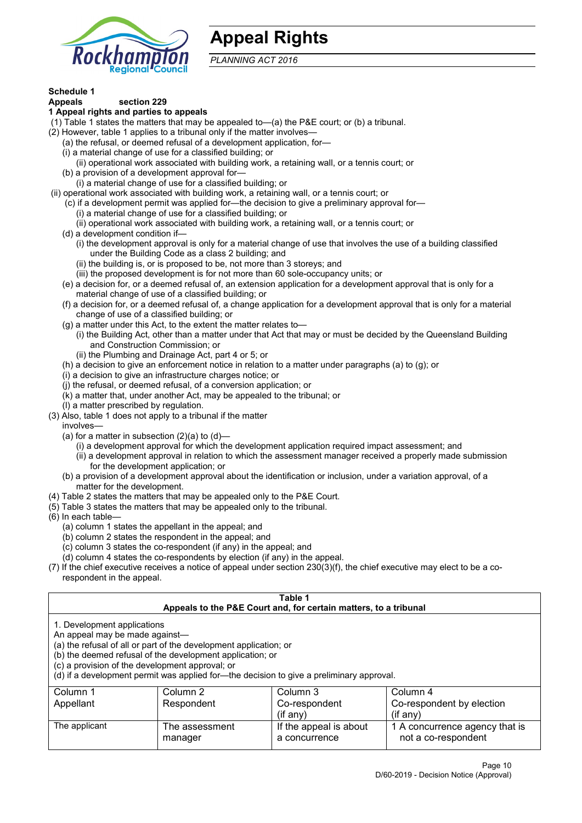

# **Appeal Rights**

*PLANNING ACT 2016*

# **Schedule 1**

#### **Appeals section 229 1 Appeal rights and parties to appeals**

- (1) Table 1 states the matters that may be appealed to—(a) the P&E court; or (b) a tribunal.
- (2) However, table 1 applies to a tribunal only if the matter involves—
	- (a) the refusal, or deemed refusal of a development application, for—
	- (i) a material change of use for a classified building; or
	- (ii) operational work associated with building work, a retaining wall, or a tennis court; or
	- (b) a provision of a development approval for—
	- (i) a material change of use for a classified building; or
- (ii) operational work associated with building work, a retaining wall, or a tennis court; or
	- (c) if a development permit was applied for—the decision to give a preliminary approval for—
		- (i) a material change of use for a classified building; or
		- (ii) operational work associated with building work, a retaining wall, or a tennis court; or
	- (d) a development condition if—
		- (i) the development approval is only for a material change of use that involves the use of a building classified under the Building Code as a class 2 building; and
		- (ii) the building is, or is proposed to be, not more than 3 storeys; and
		- (iii) the proposed development is for not more than 60 sole-occupancy units; or
	- (e) a decision for, or a deemed refusal of, an extension application for a development approval that is only for a material change of use of a classified building; or
	- (f) a decision for, or a deemed refusal of, a change application for a development approval that is only for a material change of use of a classified building; or
	- (g) a matter under this Act, to the extent the matter relates to—
		- (i) the Building Act, other than a matter under that Act that may or must be decided by the Queensland Building and Construction Commission; or
		- (ii) the Plumbing and Drainage Act, part 4 or 5; or
	- (h) a decision to give an enforcement notice in relation to a matter under paragraphs (a) to (g); or
	- (i) a decision to give an infrastructure charges notice; or
	- (j) the refusal, or deemed refusal, of a conversion application; or
	- (k) a matter that, under another Act, may be appealed to the tribunal; or
	- (l) a matter prescribed by regulation.
- (3) Also, table 1 does not apply to a tribunal if the matter

involves—

- (a) for a matter in subsection  $(2)(a)$  to  $(d)$ 
	- (i) a development approval for which the development application required impact assessment; and
	- (ii) a development approval in relation to which the assessment manager received a properly made submission for the development application; or
- (b) a provision of a development approval about the identification or inclusion, under a variation approval, of a matter for the development.
- (4) Table 2 states the matters that may be appealed only to the P&E Court.
- (5) Table 3 states the matters that may be appealed only to the tribunal.
- (6) In each table—
	- (a) column 1 states the appellant in the appeal; and
	- (b) column 2 states the respondent in the appeal; and
	- (c) column 3 states the co-respondent (if any) in the appeal; and
	- (d) column 4 states the co-respondents by election (if any) in the appeal.
- (7) If the chief executive receives a notice of appeal under section 230(3)(f), the chief executive may elect to be a corespondent in the appeal.

| Table 1                                                                                                                                                                                                                                                                                                                                        |                           |                                                                  |                                                       |  |
|------------------------------------------------------------------------------------------------------------------------------------------------------------------------------------------------------------------------------------------------------------------------------------------------------------------------------------------------|---------------------------|------------------------------------------------------------------|-------------------------------------------------------|--|
|                                                                                                                                                                                                                                                                                                                                                |                           | Appeals to the P&E Court and, for certain matters, to a tribunal |                                                       |  |
| 1. Development applications<br>An appeal may be made against-<br>(a) the refusal of all or part of the development application; or<br>(b) the deemed refusal of the development application; or<br>(c) a provision of the development approval; or<br>(d) if a development permit was applied for—the decision to give a preliminary approval. |                           |                                                                  |                                                       |  |
| Column 3<br>Column 1<br>Column 2<br>Column 4                                                                                                                                                                                                                                                                                                   |                           |                                                                  |                                                       |  |
| Appellant                                                                                                                                                                                                                                                                                                                                      | Respondent                | Co-respondent                                                    | Co-respondent by election                             |  |
| $($ if any $)$<br>$($ if any $)$                                                                                                                                                                                                                                                                                                               |                           |                                                                  |                                                       |  |
| The applicant                                                                                                                                                                                                                                                                                                                                  | The assessment<br>manager | If the appeal is about<br>a concurrence                          | 1 A concurrence agency that is<br>not a co-respondent |  |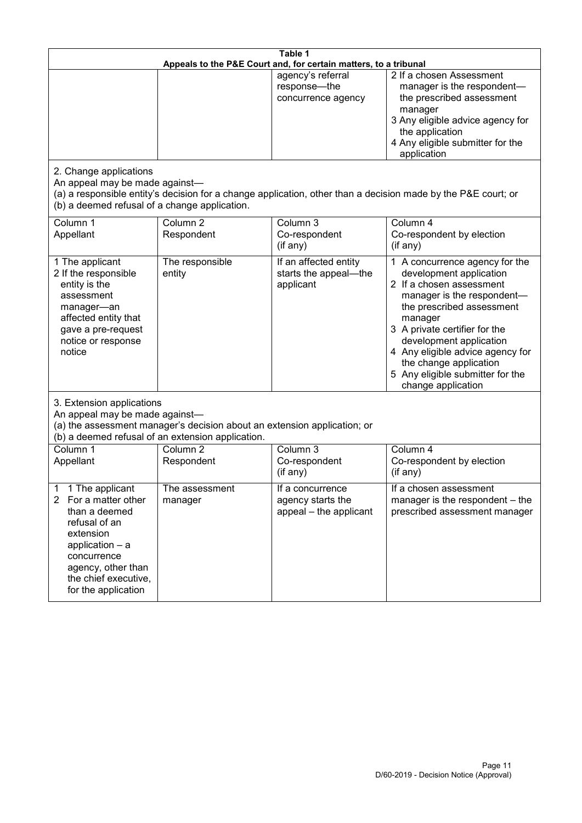| Table 1<br>Appeals to the P&E Court and, for certain matters, to a tribunal                                                                                                                                      |                                                                                                                               |                                                                 |                                                                                                                                                                                                                                                                                                                                                 |
|------------------------------------------------------------------------------------------------------------------------------------------------------------------------------------------------------------------|-------------------------------------------------------------------------------------------------------------------------------|-----------------------------------------------------------------|-------------------------------------------------------------------------------------------------------------------------------------------------------------------------------------------------------------------------------------------------------------------------------------------------------------------------------------------------|
|                                                                                                                                                                                                                  |                                                                                                                               | agency's referral<br>response-the<br>concurrence agency         | 2 If a chosen Assessment<br>manager is the respondent-<br>the prescribed assessment<br>manager<br>3 Any eligible advice agency for<br>the application<br>4 Any eligible submitter for the<br>application                                                                                                                                        |
| 2. Change applications<br>An appeal may be made against-<br>(b) a deemed refusal of a change application.                                                                                                        |                                                                                                                               |                                                                 | (a) a responsible entity's decision for a change application, other than a decision made by the P&E court; or                                                                                                                                                                                                                                   |
| Column 1<br>Appellant                                                                                                                                                                                            | Column <sub>2</sub><br>Respondent                                                                                             | Column 3<br>Co-respondent<br>(if any)                           | Column 4<br>Co-respondent by election<br>(if any)                                                                                                                                                                                                                                                                                               |
| 1 The applicant<br>2 If the responsible<br>entity is the<br>assessment<br>manager-an<br>affected entity that<br>gave a pre-request<br>notice or response<br>notice                                               | The responsible<br>entity                                                                                                     | If an affected entity<br>starts the appeal-the<br>applicant     | 1 A concurrence agency for the<br>development application<br>2 If a chosen assessment<br>manager is the respondent-<br>the prescribed assessment<br>manager<br>3 A private certifier for the<br>development application<br>4 Any eligible advice agency for<br>the change application<br>5 Any eligible submitter for the<br>change application |
| 3. Extension applications<br>An appeal may be made against-                                                                                                                                                      | (a) the assessment manager's decision about an extension application; or<br>(b) a deemed refusal of an extension application. |                                                                 |                                                                                                                                                                                                                                                                                                                                                 |
| Column 1<br>Appellant                                                                                                                                                                                            | Column <sub>2</sub><br>Respondent                                                                                             | Column 3<br>Co-respondent<br>(if any)                           | Column 4<br>Co-respondent by election<br>(if any)                                                                                                                                                                                                                                                                                               |
| 1 The applicant<br>1<br>For a matter other<br>$\mathbf{2}$<br>than a deemed<br>refusal of an<br>extension<br>application - a<br>concurrence<br>agency, other than<br>the chief executive,<br>for the application | The assessment<br>manager                                                                                                     | If a concurrence<br>agency starts the<br>appeal - the applicant | If a chosen assessment<br>manager is the respondent – the<br>prescribed assessment manager                                                                                                                                                                                                                                                      |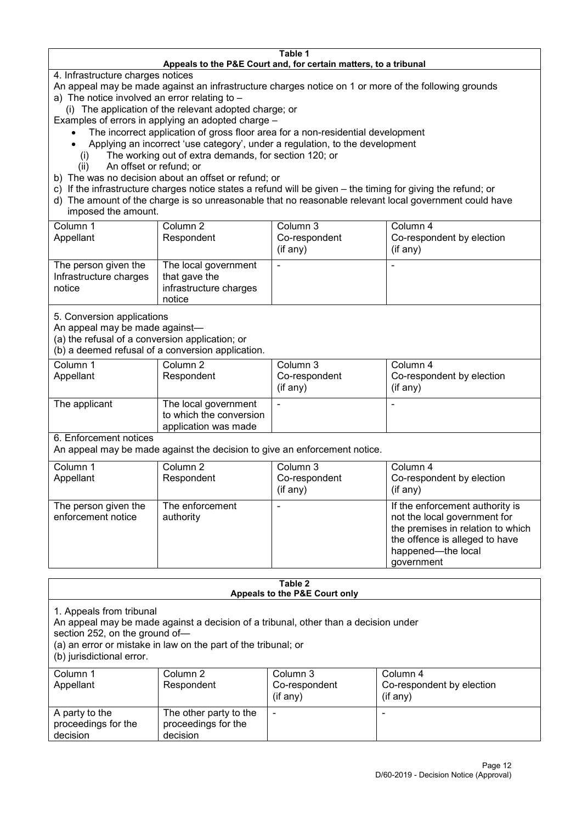### **Table 1 Appeals to the P&E Court and, for certain matters, to a tribunal**

4. Infrastructure charges notices

- An appeal may be made against an infrastructure charges notice on 1 or more of the following grounds
- a) The notice involved an error relating to
	- (i) The application of the relevant adopted charge; or
- Examples of errors in applying an adopted charge
	- The incorrect application of gross floor area for a non-residential development
	- Applying an incorrect 'use category', under a regulation, to the development
	- (i) The working out of extra demands, for section 120; or
	- (ii) An offset or refund; or
- b) The was no decision about an offset or refund; or
- c) If the infrastructure charges notice states a refund will be given the timing for giving the refund; or
- d) The amount of the charge is so unreasonable that no reasonable relevant local government could have
- imposed the amount.

| Column 1                                                 | Column 2                                                                  | Column 3      | Column 4                  |
|----------------------------------------------------------|---------------------------------------------------------------------------|---------------|---------------------------|
| Appellant                                                | Respondent                                                                | Co-respondent | Co-respondent by election |
|                                                          |                                                                           | (if any)      | (if any)                  |
| The person given the<br>Infrastructure charges<br>notice | The local government<br>that gave the<br>infrastructure charges<br>notice | -             | $\overline{\phantom{a}}$  |

5. Conversion applications

An appeal may be made against—

(a) the refusal of a conversion application; or

(b) a deemed refusal of a conversion application.

| Column 1<br>Appellant | Column 2<br>Respondent                                                  | Column 3<br>Co-respondent | Column 4<br>Co-respondent by election |
|-----------------------|-------------------------------------------------------------------------|---------------------------|---------------------------------------|
|                       |                                                                         | $($ if any $)$            | $(if$ any)                            |
| The applicant         | The local government<br>to which the conversion<br>application was made |                           |                                       |

6. Enforcement notices

An appeal may be made against the decision to give an enforcement notice.

| Column 1                                   | Column 2                     | Column 3      | Column 4                                                                                                                                                                   |
|--------------------------------------------|------------------------------|---------------|----------------------------------------------------------------------------------------------------------------------------------------------------------------------------|
| Appellant                                  | Respondent                   | Co-respondent | Co-respondent by election                                                                                                                                                  |
|                                            |                              | (if any)      | (if any)                                                                                                                                                                   |
| The person given the<br>enforcement notice | The enforcement<br>authority |               | If the enforcement authority is<br>not the local government for<br>the premises in relation to which<br>the offence is alleged to have<br>happened-the local<br>government |

#### **Table 2 Appeals to the P&E Court only**

1. Appeals from tribunal

An appeal may be made against a decision of a tribunal, other than a decision under

section 252, on the ground of—

(a) an error or mistake in law on the part of the tribunal; or

(b) jurisdictional error.

| Column 1<br>Appellant                             | Column 2<br>Respondent                                    | Column 3<br>Co-respondent<br>$($ if any $)$ | Column 4<br>Co-respondent by election<br>$($ if any $)$ |
|---------------------------------------------------|-----------------------------------------------------------|---------------------------------------------|---------------------------------------------------------|
| A party to the<br>proceedings for the<br>decision | The other party to the<br>proceedings for the<br>decision | $\overline{\phantom{0}}$                    |                                                         |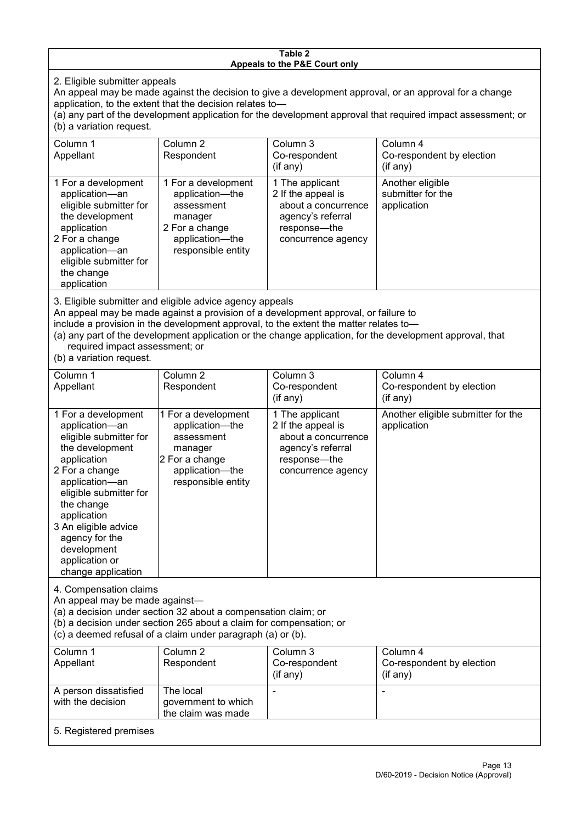### **Table 2 Appeals to the P&E Court only**

2. Eligible submitter appeals

An appeal may be made against the decision to give a development approval, or an approval for a change application, to the extent that the decision relates to—

(a) any part of the development application for the development approval that required impact assessment; or (b) a variation request.

| Column 1<br>Appellant                                                                                                                                                                                                                                                                                                                                                                  | Column 2<br>Respondent                                                                                                     | Column 3<br>Co-respondent<br>$($ if any $)$                                                                             | Column 4<br>Co-respondent by election<br>(if any)    |  |
|----------------------------------------------------------------------------------------------------------------------------------------------------------------------------------------------------------------------------------------------------------------------------------------------------------------------------------------------------------------------------------------|----------------------------------------------------------------------------------------------------------------------------|-------------------------------------------------------------------------------------------------------------------------|------------------------------------------------------|--|
| 1 For a development<br>application-an<br>eligible submitter for<br>the development<br>application<br>2 For a change<br>application-an<br>eligible submitter for<br>the change<br>application                                                                                                                                                                                           | 1 For a development<br>application-the<br>assessment<br>manager<br>2 For a change<br>application-the<br>responsible entity | 1 The applicant<br>2 If the appeal is<br>about a concurrence<br>agency's referral<br>response-the<br>concurrence agency | Another eligible<br>submitter for the<br>application |  |
| 3. Eligible submitter and eligible advice agency appeals<br>An appeal may be made against a provision of a development approval, or failure to<br>include a provision in the development approval, to the extent the matter relates to-<br>(a) any part of the development application or the change application, for the development approval, that<br>required impact assessment; or |                                                                                                                            |                                                                                                                         |                                                      |  |

(b) a variation request.

| Column 1                                                                                                                                                                                                                                                                                      | Column 2                                                                                                                   | Column 3                                                                                                                | Column 4                                          |  |
|-----------------------------------------------------------------------------------------------------------------------------------------------------------------------------------------------------------------------------------------------------------------------------------------------|----------------------------------------------------------------------------------------------------------------------------|-------------------------------------------------------------------------------------------------------------------------|---------------------------------------------------|--|
| Appellant                                                                                                                                                                                                                                                                                     | Respondent                                                                                                                 | Co-respondent                                                                                                           | Co-respondent by election                         |  |
|                                                                                                                                                                                                                                                                                               |                                                                                                                            | (if any)                                                                                                                | (if any)                                          |  |
| 1 For a development<br>application-an<br>eligible submitter for<br>the development<br>application<br>2 For a change<br>application-an<br>eligible submitter for<br>the change<br>application<br>3 An eligible advice<br>agency for the<br>development<br>application or<br>change application | 1 For a development<br>application-the<br>assessment<br>manager<br>2 For a change<br>application-the<br>responsible entity | 1 The applicant<br>2 If the appeal is<br>about a concurrence<br>agency's referral<br>response—the<br>concurrence agency | Another eligible submitter for the<br>application |  |
| 4. Compensation claims<br>An appeal may be made against-<br>(a) a decision under section 32 about a compensation claim; or<br>(b) a decision under section 265 about a claim for compensation; or<br>(c) a deemed refusal of a claim under paragraph (a) or (b).                              |                                                                                                                            |                                                                                                                         |                                                   |  |
| Column 1                                                                                                                                                                                                                                                                                      | Column $2$                                                                                                                 | Column 3                                                                                                                | Column 4                                          |  |
| Appellant                                                                                                                                                                                                                                                                                     | Respondent                                                                                                                 | Co-respondent                                                                                                           | Co-respondent by election                         |  |
|                                                                                                                                                                                                                                                                                               |                                                                                                                            | (if any)                                                                                                                | (if any)                                          |  |
| A person dissatisfied                                                                                                                                                                                                                                                                         | The local                                                                                                                  |                                                                                                                         |                                                   |  |

government to which the claim was made

with the decision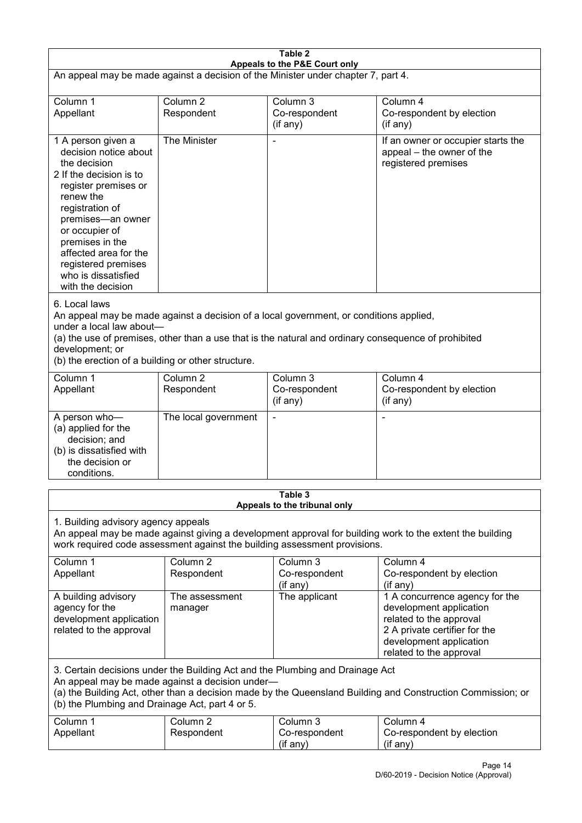| Table 2<br>Appeals to the P&E Court only                                                                                                                                                                                                                                                                             |                                   |                                                                           |                                                                                                                                                                             |  |
|----------------------------------------------------------------------------------------------------------------------------------------------------------------------------------------------------------------------------------------------------------------------------------------------------------------------|-----------------------------------|---------------------------------------------------------------------------|-----------------------------------------------------------------------------------------------------------------------------------------------------------------------------|--|
| An appeal may be made against a decision of the Minister under chapter 7, part 4.                                                                                                                                                                                                                                    |                                   |                                                                           |                                                                                                                                                                             |  |
| Column 1<br>Appellant                                                                                                                                                                                                                                                                                                | Column <sub>2</sub><br>Respondent | Column 3<br>Co-respondent<br>(if any)                                     | Column 4<br>Co-respondent by election<br>(if any)                                                                                                                           |  |
| 1 A person given a<br>decision notice about<br>the decision<br>2 If the decision is to<br>register premises or<br>renew the<br>registration of<br>premises-an owner<br>or occupier of<br>premises in the<br>affected area for the<br>registered premises<br>who is dissatisfied<br>with the decision                 | The Minister                      |                                                                           | If an owner or occupier starts the<br>appeal – the owner of the<br>registered premises                                                                                      |  |
| 6. Local laws<br>An appeal may be made against a decision of a local government, or conditions applied,<br>under a local law about-<br>(a) the use of premises, other than a use that is the natural and ordinary consequence of prohibited<br>development; or<br>(b) the erection of a building or other structure. |                                   |                                                                           |                                                                                                                                                                             |  |
| Column 1<br>Appellant                                                                                                                                                                                                                                                                                                | Column <sub>2</sub><br>Respondent | Column 3<br>Co-respondent<br>(if any)                                     | Column 4<br>Co-respondent by election<br>(if any)                                                                                                                           |  |
| A person who-<br>(a) applied for the<br>decision; and<br>(b) is dissatisfied with<br>the decision or<br>conditions.                                                                                                                                                                                                  | The local government              |                                                                           |                                                                                                                                                                             |  |
|                                                                                                                                                                                                                                                                                                                      |                                   | Table 3<br>Appeals to the tribunal only                                   |                                                                                                                                                                             |  |
| 1. Building advisory agency appeals                                                                                                                                                                                                                                                                                  |                                   | work required code assessment against the building assessment provisions. | An appeal may be made against giving a development approval for building work to the extent the building                                                                    |  |
| Column 1<br>Appellant                                                                                                                                                                                                                                                                                                | Column <sub>2</sub><br>Respondent | Column 3<br>Co-respondent<br>(if any)                                     | Column 4<br>Co-respondent by election<br>(if any)                                                                                                                           |  |
| A building advisory<br>agency for the<br>development application<br>related to the approval                                                                                                                                                                                                                          | The assessment<br>manager         | The applicant                                                             | 1 A concurrence agency for the<br>development application<br>related to the approval<br>2 A private certifier for the<br>development application<br>related to the approval |  |
| 3. Certain decisions under the Building Act and the Plumbing and Drainage Act<br>An appeal may be made against a decision under-<br>(a) the Building Act, other than a decision made by the Queensland Building and Construction Commission; or<br>(b) the Plumbing and Drainage Act, part 4 or 5.                   |                                   |                                                                           |                                                                                                                                                                             |  |
| Column 1<br>Appellant                                                                                                                                                                                                                                                                                                | Column <sub>2</sub><br>Respondent | Column 3<br>Co-respondent<br>(if any)                                     | Column 4<br>Co-respondent by election<br>(if any)                                                                                                                           |  |